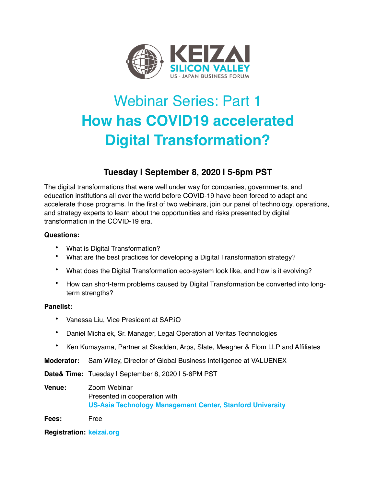

# Webinar Series: Part 1 **How has COVID19 accelerated Digital Transformation?**

## **Tuesday | September 8, 2020 | 5-6pm PST**

The digital transformations that were well under way for companies, governments, and education institutions all over the world before COVID-19 have been forced to adapt and accelerate those programs. In the first of two webinars, join our panel of technology, operations, and strategy experts to learn about the opportunities and risks presented by digital transformation in the COVID-19 era.

## **Questions:**

- What is Digital Transformation?
- What are the best practices for developing a Digital Transformation strategy?
- What does the Digital Transformation eco-system look like, and how is it evolving?
- How can short-term problems caused by Digital Transformation be converted into longterm strengths?

## **Panelist:**

- Vanessa Liu, Vice President at SAP.iO
- Daniel Michalek, Sr. Manager, Legal Operation at Veritas Technologies
- Ken Kumayama, Partner at Skadden, Arps, Slate, Meagher & Flom LLP and Affiliates

**Moderator:** Sam Wiley, Director of Global Business Intelligence at VALUENEX

**Date& Time:** Tuesday | September 8, 2020 | 5-6PM PST

**Venue:** Zoom Webinar Presented in cooperation with **[US-Asia Technology Management Center, Stanford University](https://asia.stanford.edu/)**

**Fees:** Free

**Registration: [keizai.org](http://keizai.org/)**